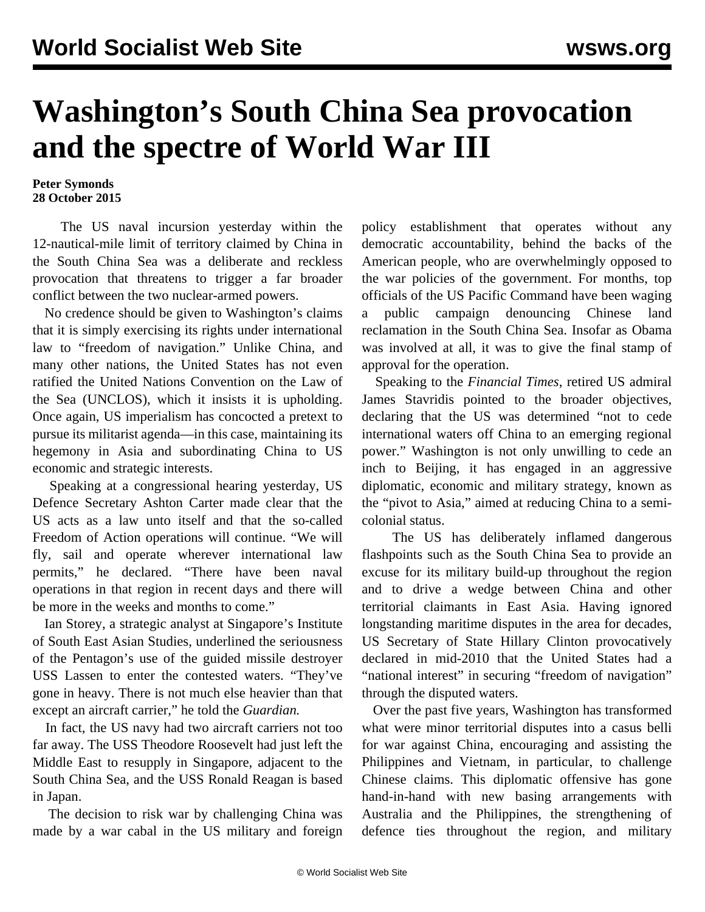## **Washington's South China Sea provocation and the spectre of World War III**

## **Peter Symonds 28 October 2015**

 The US naval incursion yesterday within the 12-nautical-mile limit of territory claimed by China in the South China Sea was a deliberate and reckless provocation that threatens to trigger a far broader conflict between the two nuclear-armed powers.

 No credence should be given to Washington's claims that it is simply exercising its rights under international law to "freedom of navigation." Unlike China, and many other nations, the United States has not even ratified the United Nations Convention on the Law of the Sea (UNCLOS), which it insists it is upholding. Once again, US imperialism has concocted a pretext to pursue its militarist agenda—in this case, maintaining its hegemony in Asia and subordinating China to US economic and strategic interests.

 Speaking at a congressional hearing yesterday, US Defence Secretary Ashton Carter made clear that the US acts as a law unto itself and that the so-called Freedom of Action operations will continue. "We will fly, sail and operate wherever international law permits," he declared. "There have been naval operations in that region in recent days and there will be more in the weeks and months to come."

 Ian Storey, a strategic analyst at Singapore's Institute of South East Asian Studies, underlined the seriousness of the Pentagon's use of the guided missile destroyer USS Lassen to enter the contested waters. "They've gone in heavy. There is not much else heavier than that except an aircraft carrier," he told the *Guardian.*

 In fact, the US navy had two aircraft carriers not too far away. The USS Theodore Roosevelt had just left the Middle East to resupply in Singapore, adjacent to the South China Sea, and the USS Ronald Reagan is based in Japan.

 The decision to risk war by challenging China was made by a war cabal in the US military and foreign policy establishment that operates without any democratic accountability, behind the backs of the American people, who are overwhelmingly opposed to the war policies of the government. For months, top officials of the US Pacific Command have been waging a public campaign denouncing Chinese land reclamation in the South China Sea. Insofar as Obama was involved at all, it was to give the final stamp of approval for the operation.

 Speaking to the *Financial Times*, retired US admiral James Stavridis pointed to the broader objectives, declaring that the US was determined "not to cede international waters off China to an emerging regional power." Washington is not only unwilling to cede an inch to Beijing, it has engaged in an aggressive diplomatic, economic and military strategy, known as the "pivot to Asia," aimed at reducing China to a semicolonial status.

 The US has deliberately inflamed dangerous flashpoints such as the South China Sea to provide an excuse for its military build-up throughout the region and to drive a wedge between China and other territorial claimants in East Asia. Having ignored longstanding maritime disputes in the area for decades, US Secretary of State Hillary Clinton provocatively declared in mid-2010 that the United States had a "national interest" in securing "freedom of navigation" through the disputed waters.

 Over the past five years, Washington has transformed what were minor territorial disputes into a casus belli for war against China, encouraging and assisting the Philippines and Vietnam, in particular, to challenge Chinese claims. This diplomatic offensive has gone hand-in-hand with new basing arrangements with Australia and the Philippines, the strengthening of defence ties throughout the region, and military